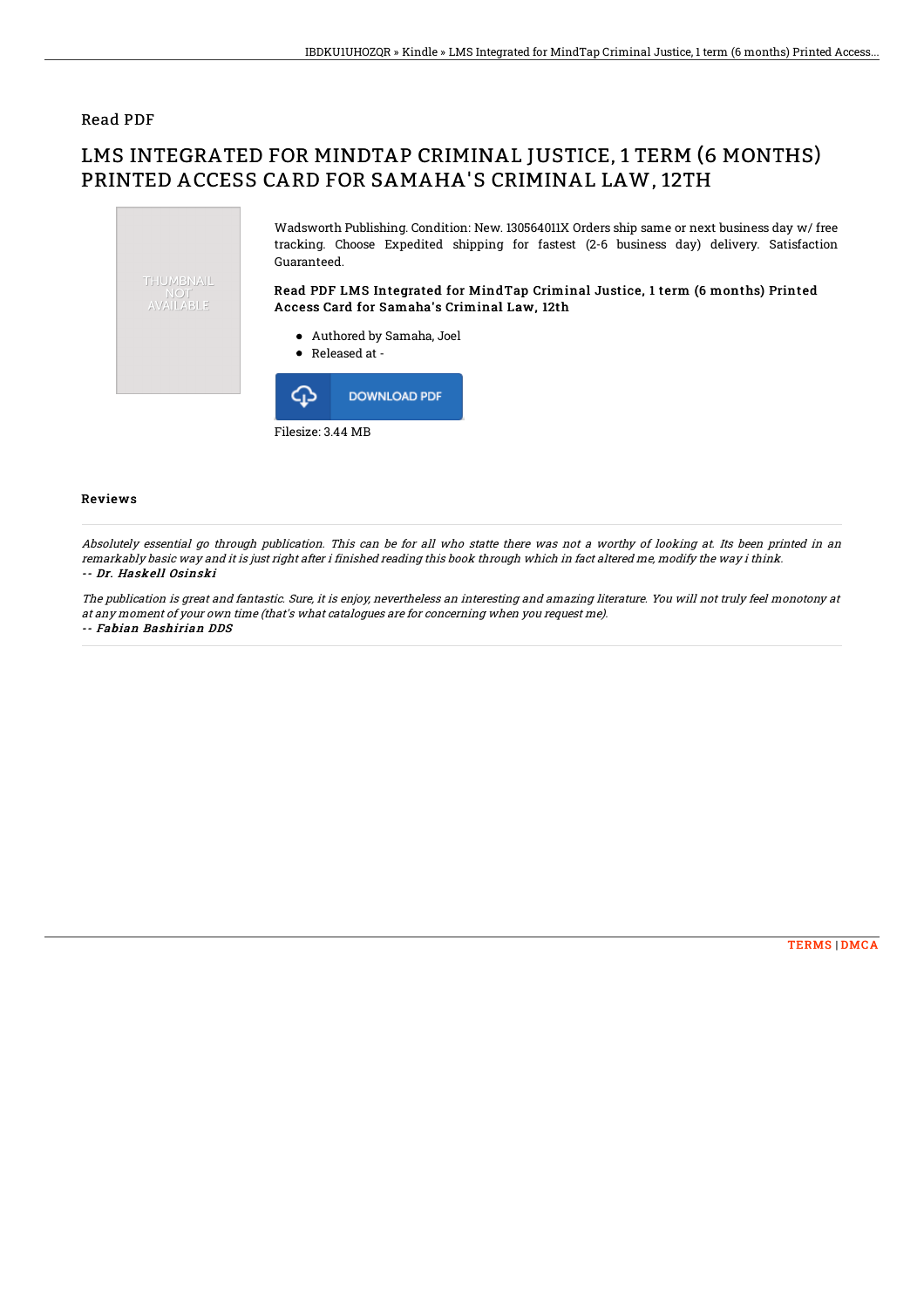## Read PDF

## LMS INTEGRATED FOR MINDTAP CRIMINAL JUSTICE, 1 TERM (6 MONTHS) PRINTED ACCESS CARD FOR SAMAHA'S CRIMINAL LAW, 12TH



Filesize: 3.44 MB

## Reviews

Absolutely essential go through publication. This can be for all who statte there was not <sup>a</sup> worthy of looking at. Its been printed in an remarkably basic way and it is just right after i finished reading this book through which in fact altered me, modify the way i think. -- Dr. Haskell Osinski

The publication is great and fantastic. Sure, it is enjoy, nevertheless an interesting and amazing literature. You will not truly feel monotony at at any moment of your own time (that's what catalogues are for concerning when you request me). -- Fabian Bashirian DDS